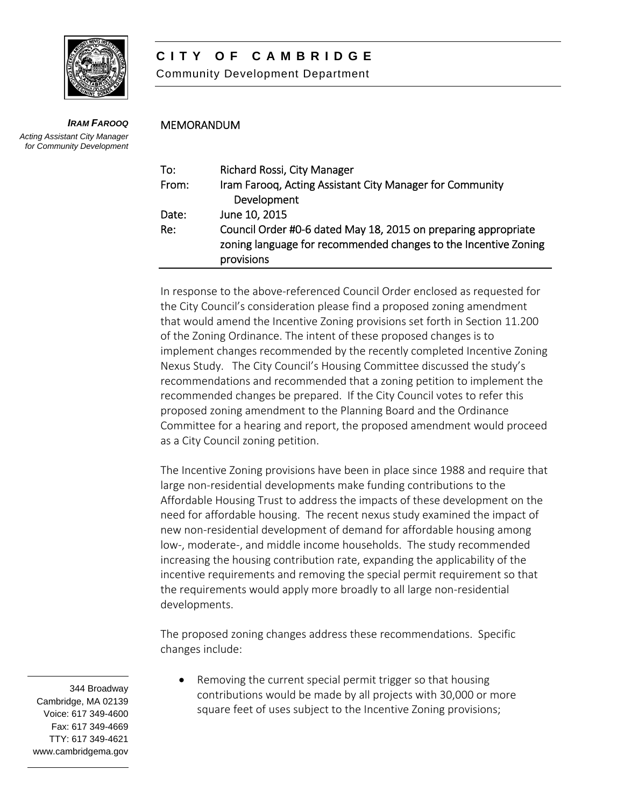

# **CITY OF CAMBRIDGE**

Community Development Department

## MEMORANDUM

*IRAM FAROOQ Acting Assistant City Manager for Community Development*

| To:   | Richard Rossi, City Manager                                                                                                                     |
|-------|-------------------------------------------------------------------------------------------------------------------------------------------------|
| From: | Iram Farooq, Acting Assistant City Manager for Community                                                                                        |
|       | Development                                                                                                                                     |
| Date: | June 10, 2015                                                                                                                                   |
| Re:   | Council Order #0-6 dated May 18, 2015 on preparing appropriate<br>zoning language for recommended changes to the Incentive Zoning<br>provisions |

In response to the above‐referenced Council Order enclosed as requested for the City Council's consideration please find a proposed zoning amendment that would amend the Incentive Zoning provisions set forth in Section 11.200 of the Zoning Ordinance. The intent of these proposed changes is to implement changes recommended by the recently completed Incentive Zoning Nexus Study. The City Council's Housing Committee discussed the study's recommendations and recommended that a zoning petition to implement the recommended changes be prepared. If the City Council votes to refer this proposed zoning amendment to the Planning Board and the Ordinance Committee for a hearing and report, the proposed amendment would proceed as a City Council zoning petition.

The Incentive Zoning provisions have been in place since 1988 and require that large non‐residential developments make funding contributions to the Affordable Housing Trust to address the impacts of these development on the need for affordable housing. The recent nexus study examined the impact of new non‐residential development of demand for affordable housing among low‐, moderate‐, and middle income households. The study recommended increasing the housing contribution rate, expanding the applicability of the incentive requirements and removing the special permit requirement so that the requirements would apply more broadly to all large non‐residential developments.

The proposed zoning changes address these recommendations. Specific changes include:

• Removing the current special permit trigger so that housing contributions would be made by all projects with 30,000 or more square feet of uses subject to the Incentive Zoning provisions;

344 Broadway Cambridge, MA 02139 Voice: 617 349-4600 Fax: 617 349-4669 TTY: 617 349-4621 www.cambridgema.gov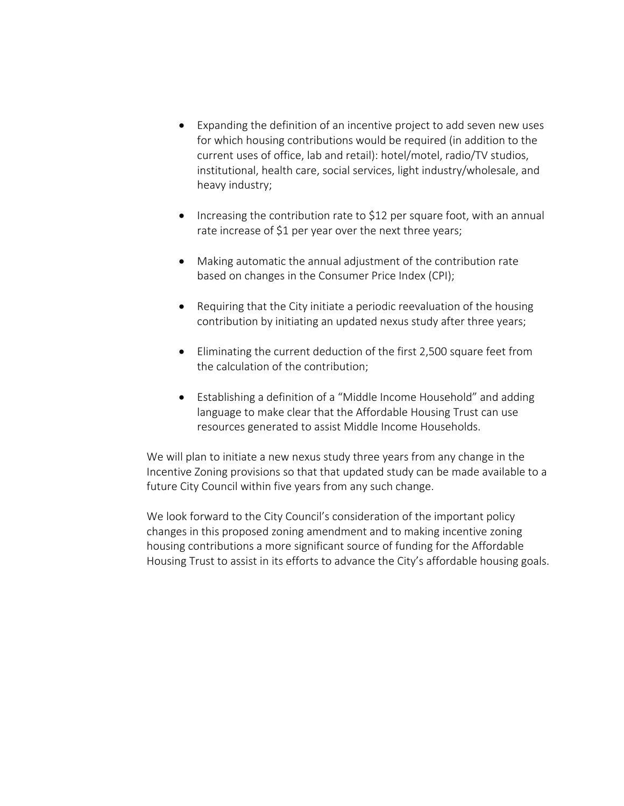- Expanding the definition of an incentive project to add seven new uses for which housing contributions would be required (in addition to the current uses of office, lab and retail): hotel/motel, radio/TV studios, institutional, health care, social services, light industry/wholesale, and heavy industry;
- Increasing the contribution rate to \$12 per square foot, with an annual rate increase of \$1 per year over the next three years;
- Making automatic the annual adjustment of the contribution rate based on changes in the Consumer Price Index (CPI);
- Requiring that the City initiate a periodic reevaluation of the housing contribution by initiating an updated nexus study after three years;
- Eliminating the current deduction of the first 2,500 square feet from the calculation of the contribution;
- Establishing a definition of a "Middle Income Household" and adding language to make clear that the Affordable Housing Trust can use resources generated to assist Middle Income Households.

We will plan to initiate a new nexus study three years from any change in the Incentive Zoning provisions so that that updated study can be made available to a future City Council within five years from any such change.

We look forward to the City Council's consideration of the important policy changes in this proposed zoning amendment and to making incentive zoning housing contributions a more significant source of funding for the Affordable Housing Trust to assist in its efforts to advance the City's affordable housing goals.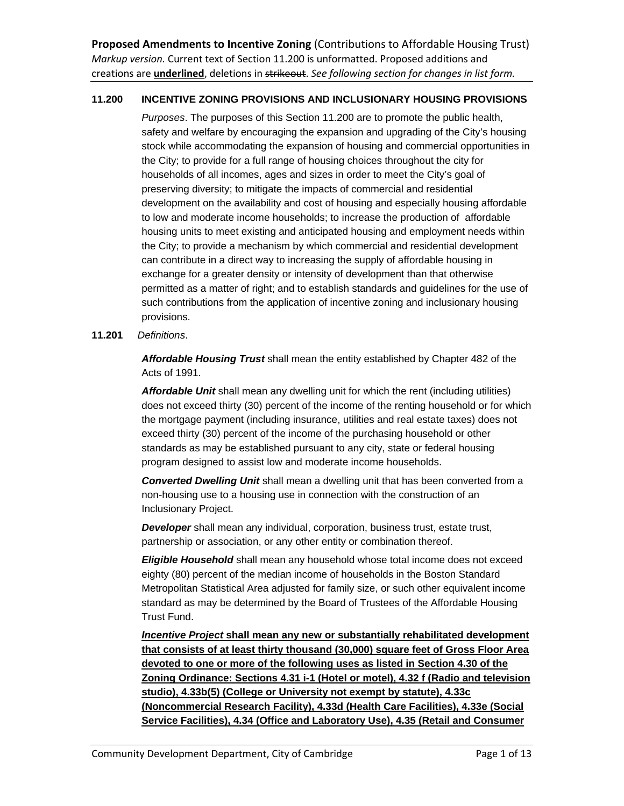## **11.200 INCENTIVE ZONING PROVISIONS AND INCLUSIONARY HOUSING PROVISIONS**

*Purposes*. The purposes of this Section 11.200 are to promote the public health, safety and welfare by encouraging the expansion and upgrading of the City's housing stock while accommodating the expansion of housing and commercial opportunities in the City; to provide for a full range of housing choices throughout the city for households of all incomes, ages and sizes in order to meet the City's goal of preserving diversity; to mitigate the impacts of commercial and residential development on the availability and cost of housing and especially housing affordable to low and moderate income households; to increase the production of affordable housing units to meet existing and anticipated housing and employment needs within the City; to provide a mechanism by which commercial and residential development can contribute in a direct way to increasing the supply of affordable housing in exchange for a greater density or intensity of development than that otherwise permitted as a matter of right; and to establish standards and guidelines for the use of such contributions from the application of incentive zoning and inclusionary housing provisions.

### **11.201** *Definitions*.

*Affordable Housing Trust* shall mean the entity established by Chapter 482 of the Acts of 1991.

*Affordable Unit* shall mean any dwelling unit for which the rent (including utilities) does not exceed thirty (30) percent of the income of the renting household or for which the mortgage payment (including insurance, utilities and real estate taxes) does not exceed thirty (30) percent of the income of the purchasing household or other standards as may be established pursuant to any city, state or federal housing program designed to assist low and moderate income households.

*Converted Dwelling Unit* shall mean a dwelling unit that has been converted from a non-housing use to a housing use in connection with the construction of an Inclusionary Project.

*Developer* shall mean any individual, corporation, business trust, estate trust, partnership or association, or any other entity or combination thereof.

*Eligible Household* shall mean any household whose total income does not exceed eighty (80) percent of the median income of households in the Boston Standard Metropolitan Statistical Area adjusted for family size, or such other equivalent income standard as may be determined by the Board of Trustees of the Affordable Housing Trust Fund.

*Incentive Project* **shall mean any new or substantially rehabilitated development that consists of at least thirty thousand (30,000) square feet of Gross Floor Area devoted to one or more of the following uses as listed in Section 4.30 of the Zoning Ordinance: Sections 4.31 i-1 (Hotel or motel), 4.32 f (Radio and television studio), 4.33b(5) (College or University not exempt by statute), 4.33c (Noncommercial Research Facility), 4.33d (Health Care Facilities), 4.33e (Social Service Facilities), 4.34 (Office and Laboratory Use), 4.35 (Retail and Consumer**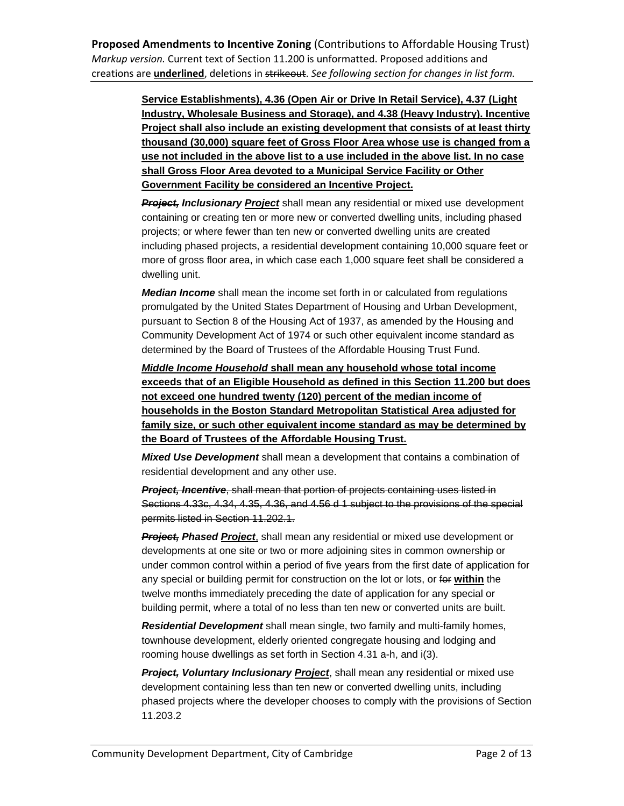> **Service Establishments), 4.36 (Open Air or Drive In Retail Service), 4.37 (Light Industry, Wholesale Business and Storage), and 4.38 (Heavy Industry). Incentive Project shall also include an existing development that consists of at least thirty thousand (30,000) square feet of Gross Floor Area whose use is changed from a use not included in the above list to a use included in the above list. In no case shall Gross Floor Area devoted to a Municipal Service Facility or Other Government Facility be considered an Incentive Project.**

> *Project, Inclusionary Project* shall mean any residential or mixed use development containing or creating ten or more new or converted dwelling units, including phased projects; or where fewer than ten new or converted dwelling units are created including phased projects, a residential development containing 10,000 square feet or more of gross floor area, in which case each 1,000 square feet shall be considered a dwelling unit.

*Median Income* shall mean the income set forth in or calculated from regulations promulgated by the United States Department of Housing and Urban Development, pursuant to Section 8 of the Housing Act of 1937, as amended by the Housing and Community Development Act of 1974 or such other equivalent income standard as determined by the Board of Trustees of the Affordable Housing Trust Fund.

*Middle Income Household* **shall mean any household whose total income exceeds that of an Eligible Household as defined in this Section 11.200 but does not exceed one hundred twenty (120) percent of the median income of households in the Boston Standard Metropolitan Statistical Area adjusted for family size, or such other equivalent income standard as may be determined by the Board of Trustees of the Affordable Housing Trust.**

*Mixed Use Development* shall mean a development that contains a combination of residential development and any other use.

*Project, Incentive*, shall mean that portion of projects containing uses listed in Sections 4.33c, 4.34, 4.35, 4.36, and 4.56 d 1 subject to the provisions of the special permits listed in Section 11.202.1.

*Project, Phased Project*, shall mean any residential or mixed use development or developments at one site or two or more adjoining sites in common ownership or under common control within a period of five years from the first date of application for any special or building permit for construction on the lot or lots, or for **within** the twelve months immediately preceding the date of application for any special or building permit, where a total of no less than ten new or converted units are built.

*Residential Development* shall mean single, two family and multi-family homes, townhouse development, elderly oriented congregate housing and lodging and rooming house dwellings as set forth in Section 4.31 a-h, and i(3).

**Project, Voluntary Inclusionary Project**, shall mean any residential or mixed use development containing less than ten new or converted dwelling units, including phased projects where the developer chooses to comply with the provisions of Section 11.203.2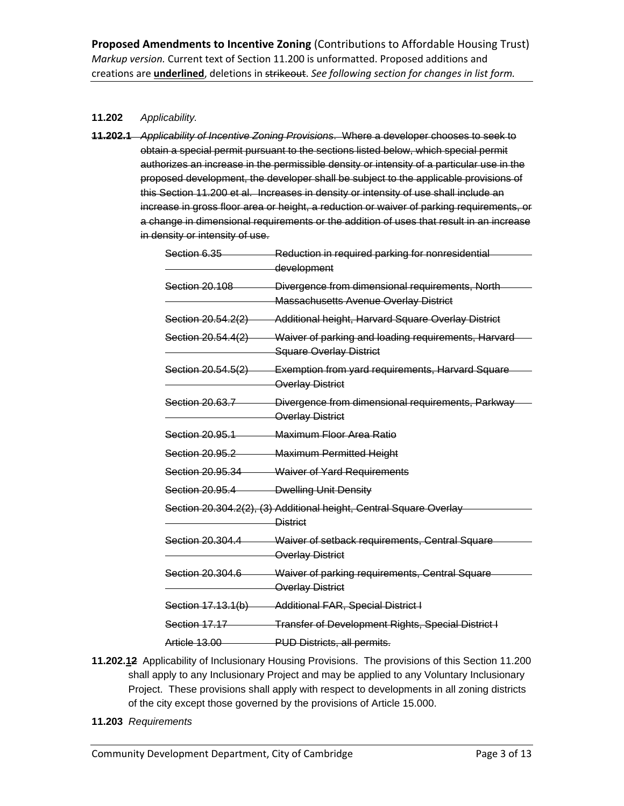### **11.202** *Applicability.*

**11.202.1** *Applicability of Incentive Zoning Provisions*. Where a developer chooses to seek to obtain a special permit pursuant to the sections listed below, which special permit authorizes an increase in the permissible density or intensity of a particular use in the proposed development, the developer shall be subject to the applicable provisions of this Section 11.200 et al. Increases in density or intensity of use shall include an increase in gross floor area or height, a reduction or waiver of parking requirements, or a change in dimensional requirements or the addition of uses that result in an increase in density or intensity of use.

| Section 6.35       | Reduction in required parking for nonresidential<br>development                                  |
|--------------------|--------------------------------------------------------------------------------------------------|
| Section 20.108     | Divergence from dimensional requirements, North-<br><b>Massachusetts Avenue Overlay District</b> |
| Section 20.54.2(2) | Additional height, Harvard Square Overlay District                                               |
| Section 20.54.4(2) | Waiver of parking and loading requirements, Harvard<br><b>Square Overlay District</b>            |
| Section 20.54.5(2) | Exemption from yard requirements, Harvard Square<br>Overlay District                             |
| Section 20.63.7    | Divergence from dimensional requirements, Parkway<br>Overlay District                            |
| Section 20.95.1    | <b>Maximum Floor Area Ratio</b>                                                                  |
| Section 20.95.2    | <b>Maximum Permitted Height</b>                                                                  |
| Section 20.95.34   | <b>Waiver of Yard Requirements</b>                                                               |
| Section 20.95.4    | Dwelling Unit Density                                                                            |
|                    | Section 20.304.2(2), (3) Additional height, Central Square Overlay<br><b>District</b>            |
| Section 20,304.4   | Waiver of setback requirements, Central Square<br>Overlay District                               |
| Section 20,304.6   | Waiver of parking requirements, Central Square<br><b>Overlay District</b>                        |
| Section 17.13.1(b) | <b>Additional FAR, Special District I</b>                                                        |
| Section 17.17      | <b>Transfer of Development Rights, Special District I</b>                                        |
| Article 13.00      | <b>PUD Districts, all permits.</b>                                                               |

- **11.202.12** Applicability of Inclusionary Housing Provisions. The provisions of this Section 11.200 shall apply to any Inclusionary Project and may be applied to any Voluntary Inclusionary Project. These provisions shall apply with respect to developments in all zoning districts of the city except those governed by the provisions of Article 15.000.
- **11.203** *Requirements*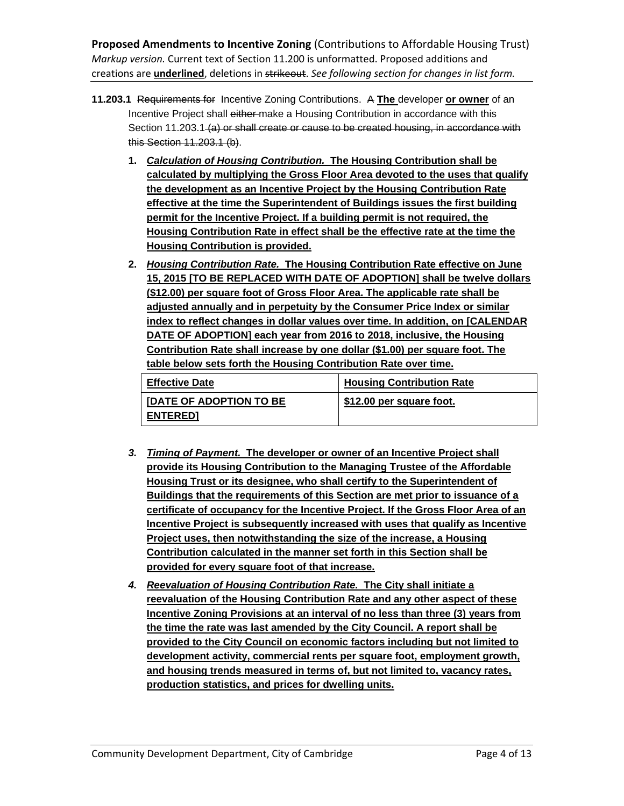- **11.203.1** Requirements for Incentive Zoning Contributions. A **The** developer **or owner** of an Incentive Project shall either-make a Housing Contribution in accordance with this Section 11.203.1-(a) or shall create or cause to be created housing, in accordance with this Section 11.203.1 (b).
	- **1.** *Calculation of Housing Contribution.* **The Housing Contribution shall be calculated by multiplying the Gross Floor Area devoted to the uses that qualify the development as an Incentive Project by the Housing Contribution Rate effective at the time the Superintendent of Buildings issues the first building permit for the Incentive Project. If a building permit is not required, the Housing Contribution Rate in effect shall be the effective rate at the time the Housing Contribution is provided.**
	- **2.** *Housing Contribution Rate.* **The Housing Contribution Rate effective on June 15, 2015 [TO BE REPLACED WITH DATE OF ADOPTION] shall be twelve dollars (\$12.00) per square foot of Gross Floor Area. The applicable rate shall be adjusted annually and in perpetuity by the Consumer Price Index or similar index to reflect changes in dollar values over time. In addition, on [CALENDAR DATE OF ADOPTION] each year from 2016 to 2018, inclusive, the Housing Contribution Rate shall increase by one dollar (\$1.00) per square foot. The table below sets forth the Housing Contribution Rate over time.**

| <b>Effective Date</b>          | <b>Housing Contribution Rate</b> |
|--------------------------------|----------------------------------|
| <b>IDATE OF ADOPTION TO BE</b> | \$12.00 per square foot.         |
| <b>ENTEREDI</b>                |                                  |

- *3. Timing of Payment.* **The developer or owner of an Incentive Project shall provide its Housing Contribution to the Managing Trustee of the Affordable Housing Trust or its designee, who shall certify to the Superintendent of Buildings that the requirements of this Section are met prior to issuance of a certificate of occupancy for the Incentive Project. If the Gross Floor Area of an Incentive Project is subsequently increased with uses that qualify as Incentive Project uses, then notwithstanding the size of the increase, a Housing Contribution calculated in the manner set forth in this Section shall be provided for every square foot of that increase.**
- *4. Reevaluation of Housing Contribution Rate.* **The City shall initiate a reevaluation of the Housing Contribution Rate and any other aspect of these Incentive Zoning Provisions at an interval of no less than three (3) years from the time the rate was last amended by the City Council. A report shall be provided to the City Council on economic factors including but not limited to development activity, commercial rents per square foot, employment growth, and housing trends measured in terms of, but not limited to, vacancy rates, production statistics, and prices for dwelling units.**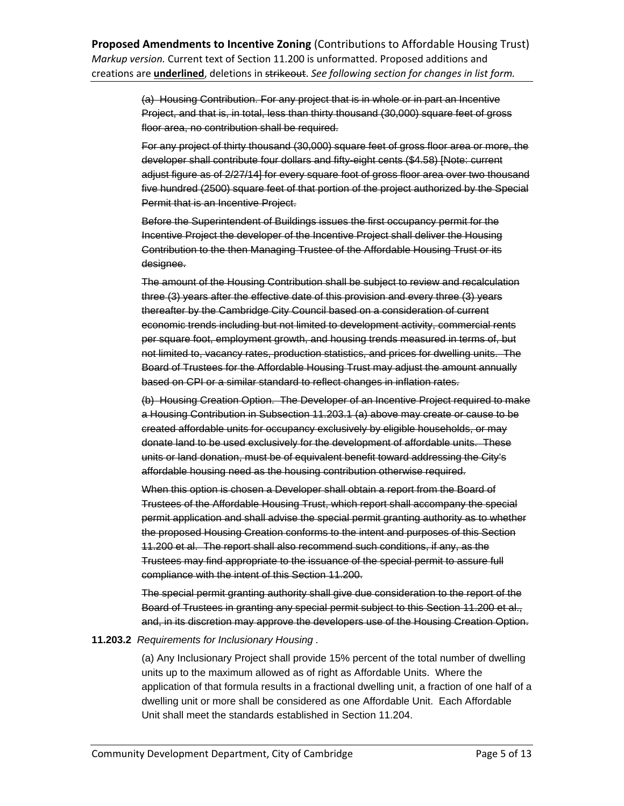(a) Housing Contribution. For any project that is in whole or in part an Incentive Project, and that is, in total, less than thirty thousand (30,000) square feet of gross floor area, no contribution shall be required.

For any project of thirty thousand (30,000) square feet of gross floor area or more, the developer shall contribute four dollars and fifty-eight cents (\$4.58) [Note: current adjust figure as of 2/27/14] for every square foot of gross floor area over two thousand five hundred (2500) square feet of that portion of the project authorized by the Special Permit that is an Incentive Project.

Before the Superintendent of Buildings issues the first occupancy permit for the Incentive Project the developer of the Incentive Project shall deliver the Housing Contribution to the then Managing Trustee of the Affordable Housing Trust or its designee.

The amount of the Housing Contribution shall be subject to review and recalculation three (3) years after the effective date of this provision and every three (3) years thereafter by the Cambridge City Council based on a consideration of current economic trends including but not limited to development activity, commercial rents per square foot, employment growth, and housing trends measured in terms of, but not limited to, vacancy rates, production statistics, and prices for dwelling units. The Board of Trustees for the Affordable Housing Trust may adjust the amount annually based on CPI or a similar standard to reflect changes in inflation rates.

(b) Housing Creation Option. The Developer of an Incentive Project required to make a Housing Contribution in Subsection 11.203.1 (a) above may create or cause to be created affordable units for occupancy exclusively by eligible households, or may donate land to be used exclusively for the development of affordable units. These units or land donation, must be of equivalent benefit toward addressing the City's affordable housing need as the housing contribution otherwise required.

When this option is chosen a Developer shall obtain a report from the Board of Trustees of the Affordable Housing Trust, which report shall accompany the special permit application and shall advise the special permit granting authority as to whether the proposed Housing Creation conforms to the intent and purposes of this Section 11.200 et al. The report shall also recommend such conditions, if any, as the Trustees may find appropriate to the issuance of the special permit to assure full compliance with the intent of this Section 11.200.

The special permit granting authority shall give due consideration to the report of the Board of Trustees in granting any special permit subject to this Section 11.200 et al., and, in its discretion may approve the developers use of the Housing Creation Option.

#### **11.203.2** *Requirements for Inclusionary Housing .*

(a) Any Inclusionary Project shall provide 15% percent of the total number of dwelling units up to the maximum allowed as of right as Affordable Units. Where the application of that formula results in a fractional dwelling unit, a fraction of one half of a dwelling unit or more shall be considered as one Affordable Unit. Each Affordable Unit shall meet the standards established in Section 11.204.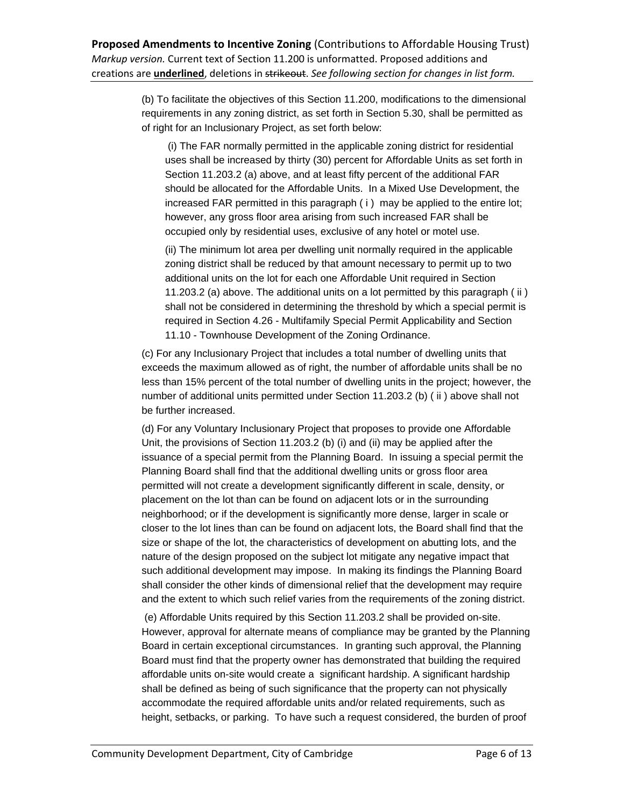(b) To facilitate the objectives of this Section 11.200, modifications to the dimensional requirements in any zoning district, as set forth in Section 5.30, shall be permitted as of right for an Inclusionary Project, as set forth below:

 (i) The FAR normally permitted in the applicable zoning district for residential uses shall be increased by thirty (30) percent for Affordable Units as set forth in Section 11.203.2 (a) above, and at least fifty percent of the additional FAR should be allocated for the Affordable Units. In a Mixed Use Development, the increased FAR permitted in this paragraph ( i ) may be applied to the entire lot; however, any gross floor area arising from such increased FAR shall be occupied only by residential uses, exclusive of any hotel or motel use.

(ii) The minimum lot area per dwelling unit normally required in the applicable zoning district shall be reduced by that amount necessary to permit up to two additional units on the lot for each one Affordable Unit required in Section 11.203.2 (a) above. The additional units on a lot permitted by this paragraph ( ii ) shall not be considered in determining the threshold by which a special permit is required in Section 4.26 - Multifamily Special Permit Applicability and Section 11.10 - Townhouse Development of the Zoning Ordinance.

(c) For any Inclusionary Project that includes a total number of dwelling units that exceeds the maximum allowed as of right, the number of affordable units shall be no less than 15% percent of the total number of dwelling units in the project; however, the number of additional units permitted under Section 11.203.2 (b) ( ii ) above shall not be further increased.

(d) For any Voluntary Inclusionary Project that proposes to provide one Affordable Unit, the provisions of Section 11.203.2 (b) (i) and (ii) may be applied after the issuance of a special permit from the Planning Board. In issuing a special permit the Planning Board shall find that the additional dwelling units or gross floor area permitted will not create a development significantly different in scale, density, or placement on the lot than can be found on adjacent lots or in the surrounding neighborhood; or if the development is significantly more dense, larger in scale or closer to the lot lines than can be found on adjacent lots, the Board shall find that the size or shape of the lot, the characteristics of development on abutting lots, and the nature of the design proposed on the subject lot mitigate any negative impact that such additional development may impose. In making its findings the Planning Board shall consider the other kinds of dimensional relief that the development may require and the extent to which such relief varies from the requirements of the zoning district.

 (e) Affordable Units required by this Section 11.203.2 shall be provided on-site. However, approval for alternate means of compliance may be granted by the Planning Board in certain exceptional circumstances. In granting such approval, the Planning Board must find that the property owner has demonstrated that building the required affordable units on-site would create a significant hardship. A significant hardship shall be defined as being of such significance that the property can not physically accommodate the required affordable units and/or related requirements, such as height, setbacks, or parking. To have such a request considered, the burden of proof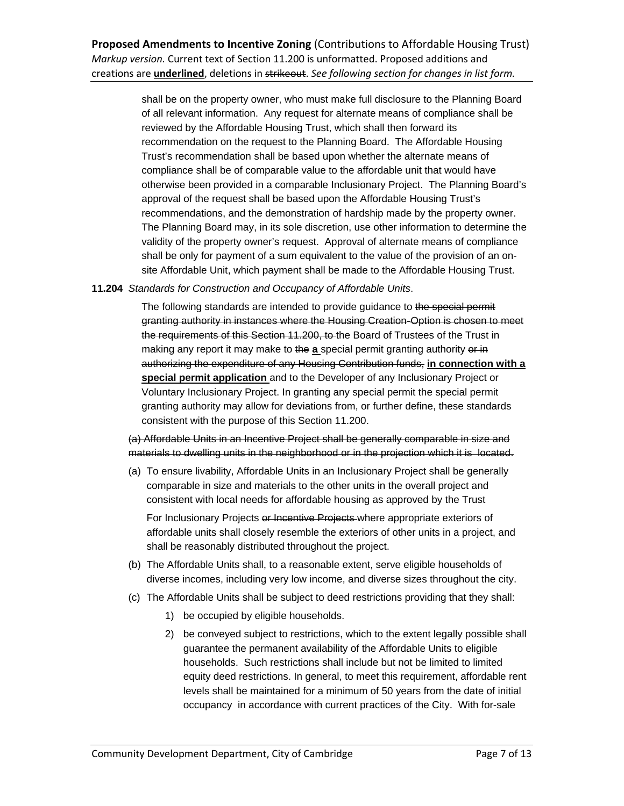shall be on the property owner, who must make full disclosure to the Planning Board of all relevant information. Any request for alternate means of compliance shall be reviewed by the Affordable Housing Trust, which shall then forward its recommendation on the request to the Planning Board. The Affordable Housing Trust's recommendation shall be based upon whether the alternate means of compliance shall be of comparable value to the affordable unit that would have otherwise been provided in a comparable Inclusionary Project. The Planning Board's approval of the request shall be based upon the Affordable Housing Trust's recommendations, and the demonstration of hardship made by the property owner. The Planning Board may, in its sole discretion, use other information to determine the validity of the property owner's request. Approval of alternate means of compliance shall be only for payment of a sum equivalent to the value of the provision of an onsite Affordable Unit, which payment shall be made to the Affordable Housing Trust.

### **11.204** *Standards for Construction and Occupancy of Affordable Units*.

The following standards are intended to provide guidance to the special permit granting authority in instances where the Housing Creation Option is chosen to meet the requirements of this Section 11.200, to the Board of Trustees of the Trust in making any report it may make to the **a** special permit granting authority or in authorizing the expenditure of any Housing Contribution funds, **in connection with a special permit application** and to the Developer of any Inclusionary Project or Voluntary Inclusionary Project. In granting any special permit the special permit granting authority may allow for deviations from, or further define, these standards consistent with the purpose of this Section 11.200.

(a) Affordable Units in an Incentive Project shall be generally comparable in size and materials to dwelling units in the neighborhood or in the projection which it is located.

(a) To ensure livability, Affordable Units in an Inclusionary Project shall be generally comparable in size and materials to the other units in the overall project and consistent with local needs for affordable housing as approved by the Trust

For Inclusionary Projects or Incentive Projects where appropriate exteriors of affordable units shall closely resemble the exteriors of other units in a project, and shall be reasonably distributed throughout the project.

- (b) The Affordable Units shall, to a reasonable extent, serve eligible households of diverse incomes, including very low income, and diverse sizes throughout the city.
- (c) The Affordable Units shall be subject to deed restrictions providing that they shall:
	- 1) be occupied by eligible households.
	- 2) be conveyed subject to restrictions, which to the extent legally possible shall guarantee the permanent availability of the Affordable Units to eligible households. Such restrictions shall include but not be limited to limited equity deed restrictions. In general, to meet this requirement, affordable rent levels shall be maintained for a minimum of 50 years from the date of initial occupancy in accordance with current practices of the City. With for-sale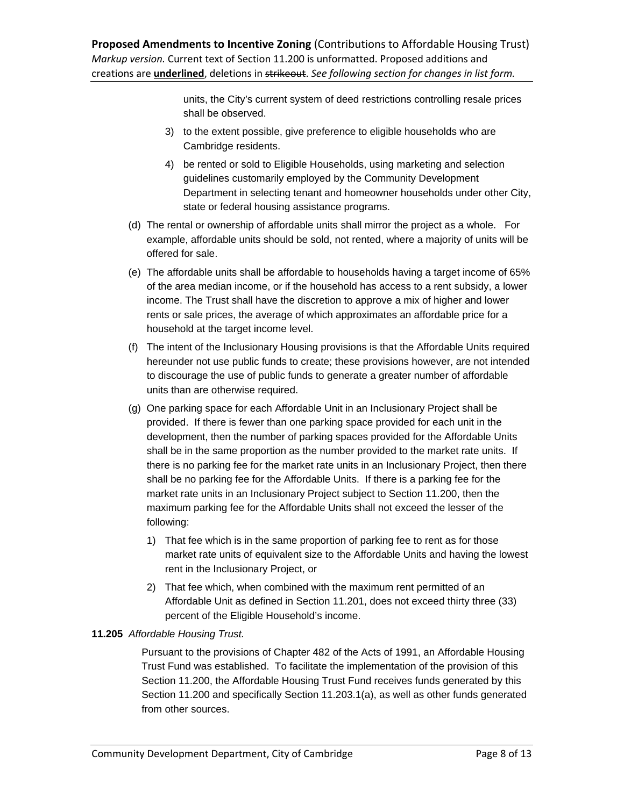units, the City's current system of deed restrictions controlling resale prices shall be observed.

- 3) to the extent possible, give preference to eligible households who are Cambridge residents.
- 4) be rented or sold to Eligible Households, using marketing and selection guidelines customarily employed by the Community Development Department in selecting tenant and homeowner households under other City, state or federal housing assistance programs.
- (d) The rental or ownership of affordable units shall mirror the project as a whole. For example, affordable units should be sold, not rented, where a majority of units will be offered for sale.
- (e) The affordable units shall be affordable to households having a target income of 65% of the area median income, or if the household has access to a rent subsidy, a lower income. The Trust shall have the discretion to approve a mix of higher and lower rents or sale prices, the average of which approximates an affordable price for a household at the target income level.
- (f) The intent of the Inclusionary Housing provisions is that the Affordable Units required hereunder not use public funds to create; these provisions however, are not intended to discourage the use of public funds to generate a greater number of affordable units than are otherwise required.
- (g) One parking space for each Affordable Unit in an Inclusionary Project shall be provided. If there is fewer than one parking space provided for each unit in the development, then the number of parking spaces provided for the Affordable Units shall be in the same proportion as the number provided to the market rate units. If there is no parking fee for the market rate units in an Inclusionary Project, then there shall be no parking fee for the Affordable Units. If there is a parking fee for the market rate units in an Inclusionary Project subject to Section 11.200, then the maximum parking fee for the Affordable Units shall not exceed the lesser of the following:
	- 1) That fee which is in the same proportion of parking fee to rent as for those market rate units of equivalent size to the Affordable Units and having the lowest rent in the Inclusionary Project, or
	- 2) That fee which, when combined with the maximum rent permitted of an Affordable Unit as defined in Section 11.201, does not exceed thirty three (33) percent of the Eligible Household's income.

## **11.205** *Affordable Housing Trust.*

Pursuant to the provisions of Chapter 482 of the Acts of 1991, an Affordable Housing Trust Fund was established. To facilitate the implementation of the provision of this Section 11.200, the Affordable Housing Trust Fund receives funds generated by this Section 11.200 and specifically Section 11.203.1(a), as well as other funds generated from other sources.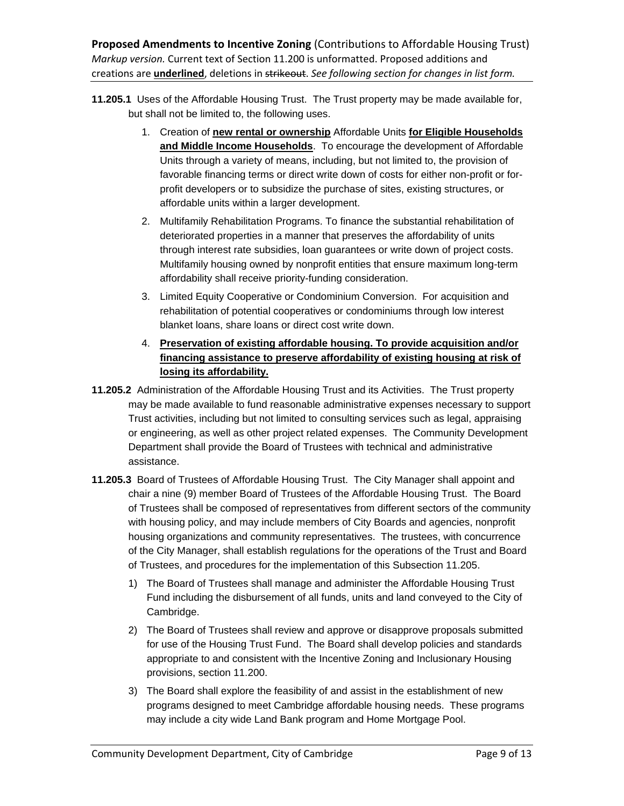- **11.205.1** Uses of the Affordable Housing Trust. The Trust property may be made available for, but shall not be limited to, the following uses.
	- 1. Creation of **new rental or ownership** Affordable Units **for Eligible Households and Middle Income Households**. To encourage the development of Affordable Units through a variety of means, including, but not limited to, the provision of favorable financing terms or direct write down of costs for either non-profit or forprofit developers or to subsidize the purchase of sites, existing structures, or affordable units within a larger development.
	- 2. Multifamily Rehabilitation Programs. To finance the substantial rehabilitation of deteriorated properties in a manner that preserves the affordability of units through interest rate subsidies, loan guarantees or write down of project costs. Multifamily housing owned by nonprofit entities that ensure maximum long-term affordability shall receive priority-funding consideration.
	- 3. Limited Equity Cooperative or Condominium Conversion. For acquisition and rehabilitation of potential cooperatives or condominiums through low interest blanket loans, share loans or direct cost write down.
	- 4. **Preservation of existing affordable housing. To provide acquisition and/or financing assistance to preserve affordability of existing housing at risk of losing its affordability.**
- **11.205.2** Administration of the Affordable Housing Trust and its Activities. The Trust property may be made available to fund reasonable administrative expenses necessary to support Trust activities, including but not limited to consulting services such as legal, appraising or engineering, as well as other project related expenses. The Community Development Department shall provide the Board of Trustees with technical and administrative assistance.
- **11.205.3** Board of Trustees of Affordable Housing Trust. The City Manager shall appoint and chair a nine (9) member Board of Trustees of the Affordable Housing Trust. The Board of Trustees shall be composed of representatives from different sectors of the community with housing policy, and may include members of City Boards and agencies, nonprofit housing organizations and community representatives. The trustees, with concurrence of the City Manager, shall establish regulations for the operations of the Trust and Board of Trustees, and procedures for the implementation of this Subsection 11.205.
	- 1) The Board of Trustees shall manage and administer the Affordable Housing Trust Fund including the disbursement of all funds, units and land conveyed to the City of Cambridge.
	- 2) The Board of Trustees shall review and approve or disapprove proposals submitted for use of the Housing Trust Fund. The Board shall develop policies and standards appropriate to and consistent with the Incentive Zoning and Inclusionary Housing provisions, section 11.200.
	- 3) The Board shall explore the feasibility of and assist in the establishment of new programs designed to meet Cambridge affordable housing needs. These programs may include a city wide Land Bank program and Home Mortgage Pool.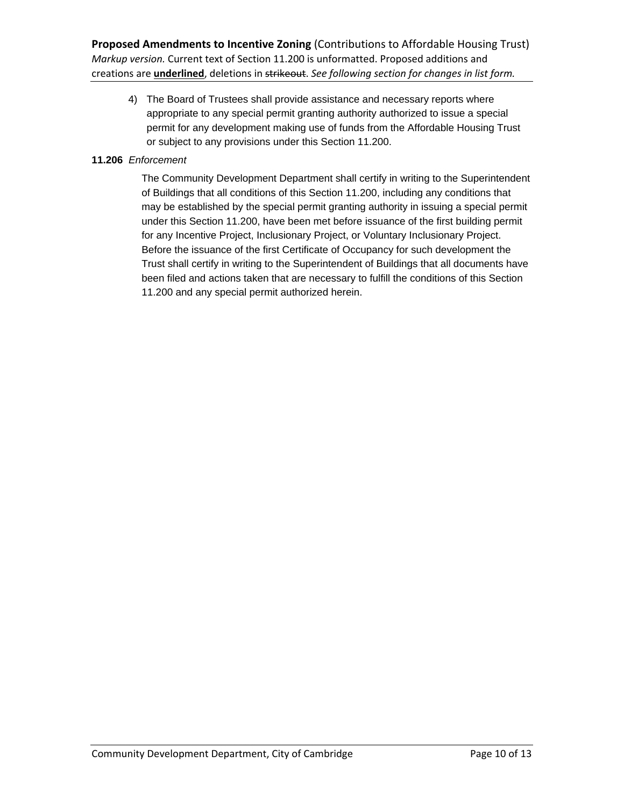4) The Board of Trustees shall provide assistance and necessary reports where appropriate to any special permit granting authority authorized to issue a special permit for any development making use of funds from the Affordable Housing Trust or subject to any provisions under this Section 11.200.

## **11.206** *Enforcement*

The Community Development Department shall certify in writing to the Superintendent of Buildings that all conditions of this Section 11.200, including any conditions that may be established by the special permit granting authority in issuing a special permit under this Section 11.200, have been met before issuance of the first building permit for any Incentive Project, Inclusionary Project, or Voluntary Inclusionary Project. Before the issuance of the first Certificate of Occupancy for such development the Trust shall certify in writing to the Superintendent of Buildings that all documents have been filed and actions taken that are necessary to fulfill the conditions of this Section 11.200 and any special permit authorized herein.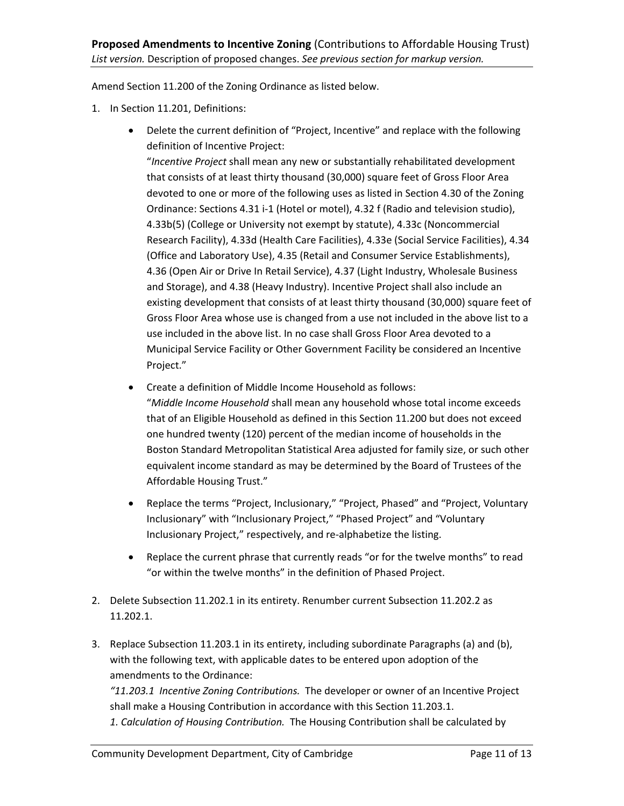Amend Section 11.200 of the Zoning Ordinance as listed below.

- 1. In Section 11.201, Definitions:
	- Delete the current definition of "Project, Incentive" and replace with the following definition of Incentive Project:

"*Incentive Project* shall mean any new or substantially rehabilitated development that consists of at least thirty thousand (30,000) square feet of Gross Floor Area devoted to one or more of the following uses as listed in Section 4.30 of the Zoning Ordinance: Sections 4.31 i‐1 (Hotel or motel), 4.32 f (Radio and television studio), 4.33b(5) (College or University not exempt by statute), 4.33c (Noncommercial Research Facility), 4.33d (Health Care Facilities), 4.33e (Social Service Facilities), 4.34 (Office and Laboratory Use), 4.35 (Retail and Consumer Service Establishments), 4.36 (Open Air or Drive In Retail Service), 4.37 (Light Industry, Wholesale Business and Storage), and 4.38 (Heavy Industry). Incentive Project shall also include an existing development that consists of at least thirty thousand (30,000) square feet of Gross Floor Area whose use is changed from a use not included in the above list to a use included in the above list. In no case shall Gross Floor Area devoted to a Municipal Service Facility or Other Government Facility be considered an Incentive Project."

- Create a definition of Middle Income Household as follows: "*Middle Income Household* shall mean any household whose total income exceeds that of an Eligible Household as defined in this Section 11.200 but does not exceed one hundred twenty (120) percent of the median income of households in the Boston Standard Metropolitan Statistical Area adjusted for family size, or such other equivalent income standard as may be determined by the Board of Trustees of the Affordable Housing Trust."
- Replace the terms "Project, Inclusionary," "Project, Phased" and "Project, Voluntary Inclusionary" with "Inclusionary Project," "Phased Project" and "Voluntary Inclusionary Project," respectively, and re‐alphabetize the listing.
- Replace the current phrase that currently reads "or for the twelve months" to read "or within the twelve months" in the definition of Phased Project.
- 2. Delete Subsection 11.202.1 in its entirety. Renumber current Subsection 11.202.2 as 11.202.1.
- 3. Replace Subsection 11.203.1 in its entirety, including subordinate Paragraphs (a) and (b), with the following text, with applicable dates to be entered upon adoption of the amendments to the Ordinance:

*"11.203.1 Incentive Zoning Contributions.* The developer or owner of an Incentive Project shall make a Housing Contribution in accordance with this Section 11.203.1.

*1. Calculation of Housing Contribution.* The Housing Contribution shall be calculated by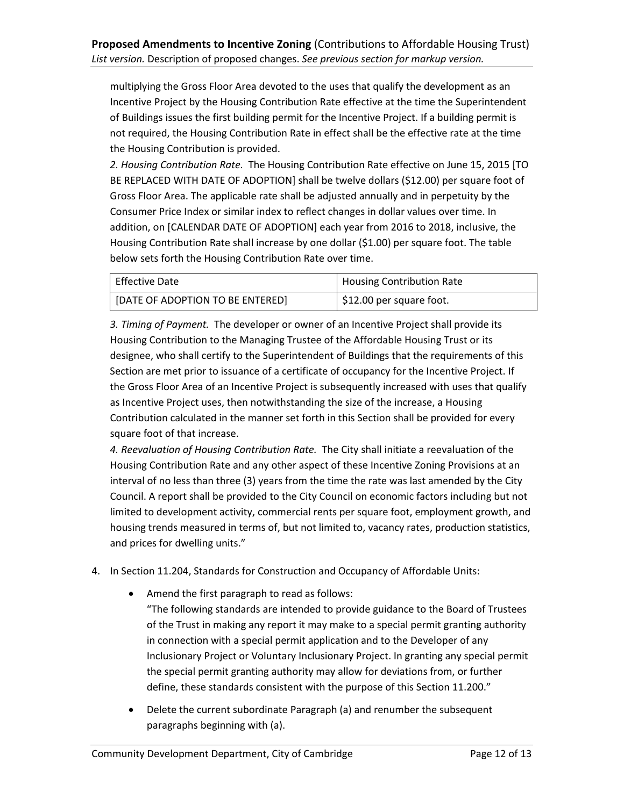multiplying the Gross Floor Area devoted to the uses that qualify the development as an Incentive Project by the Housing Contribution Rate effective at the time the Superintendent of Buildings issues the first building permit for the Incentive Project. If a building permit is not required, the Housing Contribution Rate in effect shall be the effective rate at the time the Housing Contribution is provided.

*2. Housing Contribution Rate.* The Housing Contribution Rate effective on June 15, 2015 [TO BE REPLACED WITH DATE OF ADOPTION] shall be twelve dollars (\$12.00) per square foot of Gross Floor Area. The applicable rate shall be adjusted annually and in perpetuity by the Consumer Price Index or similar index to reflect changes in dollar values over time. In addition, on [CALENDAR DATE OF ADOPTION] each year from 2016 to 2018, inclusive, the Housing Contribution Rate shall increase by one dollar (\$1.00) per square foot. The table below sets forth the Housing Contribution Rate over time.

| Effective Date                   | <b>Housing Contribution Rate</b>       |
|----------------------------------|----------------------------------------|
| [DATE OF ADOPTION TO BE ENTERED] | $\frac{1}{2}$ \$12.00 per square foot. |

*3. Timing of Payment.* The developer or owner of an Incentive Project shall provide its Housing Contribution to the Managing Trustee of the Affordable Housing Trust or its designee, who shall certify to the Superintendent of Buildings that the requirements of this Section are met prior to issuance of a certificate of occupancy for the Incentive Project. If the Gross Floor Area of an Incentive Project is subsequently increased with uses that qualify as Incentive Project uses, then notwithstanding the size of the increase, a Housing Contribution calculated in the manner set forth in this Section shall be provided for every square foot of that increase.

*4. Reevaluation of Housing Contribution Rate.* The City shall initiate a reevaluation of the Housing Contribution Rate and any other aspect of these Incentive Zoning Provisions at an interval of no less than three (3) years from the time the rate was last amended by the City Council. A report shall be provided to the City Council on economic factors including but not limited to development activity, commercial rents per square foot, employment growth, and housing trends measured in terms of, but not limited to, vacancy rates, production statistics, and prices for dwelling units."

- 4. In Section 11.204, Standards for Construction and Occupancy of Affordable Units:
	- Amend the first paragraph to read as follows: "The following standards are intended to provide guidance to the Board of Trustees of the Trust in making any report it may make to a special permit granting authority in connection with a special permit application and to the Developer of any Inclusionary Project or Voluntary Inclusionary Project. In granting any special permit the special permit granting authority may allow for deviations from, or further define, these standards consistent with the purpose of this Section 11.200."
	- Delete the current subordinate Paragraph (a) and renumber the subsequent paragraphs beginning with (a).